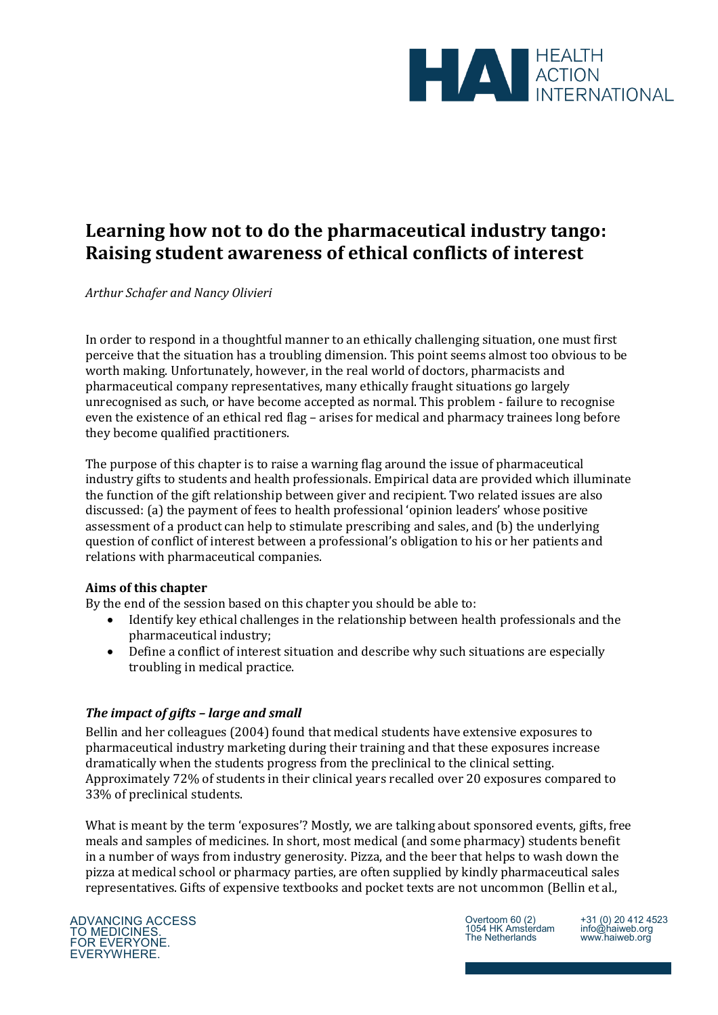

# **Learning how not to do the pharmaceutical industry tango: Raising student awareness of ethical conflicts of interest**

*Arthur Schafer and Nancy Olivieri* 

In order to respond in a thoughtful manner to an ethically challenging situation, one must first perceive that the situation has a troubling dimension. This point seems almost too obvious to be worth making. Unfortunately, however, in the real world of doctors, pharmacists and pharmaceutical company representatives, many ethically fraught situations go largely unrecognised as such, or have become accepted as normal. This problem - failure to recognise even the existence of an ethical red flag – arises for medical and pharmacy trainees long before they become qualified practitioners.

The purpose of this chapter is to raise a warning flag around the issue of pharmaceutical industry gifts to students and health professionals. Empirical data are provided which illuminate the function of the gift relationship between giver and recipient. Two related issues are also discussed: (a) the payment of fees to health professional 'opinion leaders' whose positive assessment of a product can help to stimulate prescribing and sales, and (b) the underlying question of conflict of interest between a professional's obligation to his or her patients and relations with pharmaceutical companies.

# **Aims of this chapter**

By the end of the session based on this chapter you should be able to:

- Identify key ethical challenges in the relationship between health professionals and the pharmaceutical industry;
- Define a conflict of interest situation and describe why such situations are especially troubling in medical practice.

# *The impact of gifts – large and small*

Bellin and her colleagues (2004) found that medical students have extensive exposures to pharmaceutical industry marketing during their training and that these exposures increase dramatically when the students progress from the preclinical to the clinical setting. Approximately 72% of students in their clinical years recalled over 20 exposures compared to 33% of preclinical students.

What is meant by the term 'exposures'? Mostly, we are talking about sponsored events, gifts, free meals and samples of medicines. In short, most medical (and some pharmacy) students benefit in a number of ways from industry generosity. Pizza, and the beer that helps to wash down the pizza at medical school or pharmacy parties, are often supplied by kindly pharmaceutical sales representatives. Gifts of expensive textbooks and pocket texts are not uncommon (Bellin et al.,



Overtoom 60 (2) 1054 HK Amsterdam The Netherlands

+31 (0) 20 412 4523 info@haiweb.org www.haiweb.org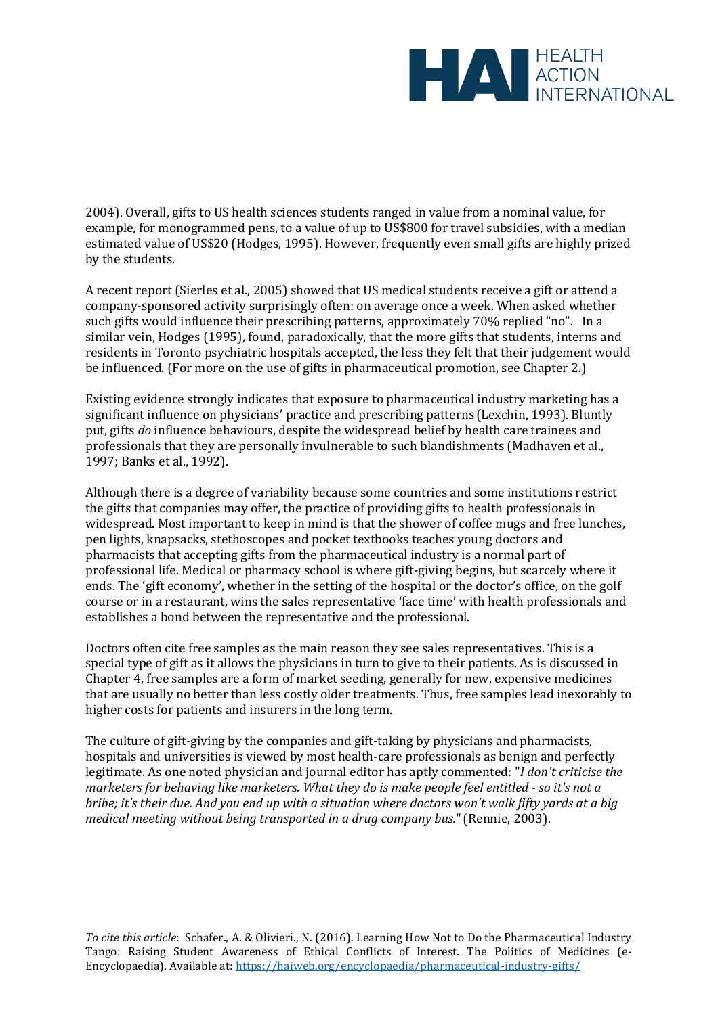

2004). Overall, gifts to US health sciences students ranged in value from a nominal value, for example, for monogrammed pens, to a value of up to US\$800 for travel subsidies, with a median estimated value of US\$20 (Hodges, 1995). However, frequently even small gifts are highly prized by the students.

A recent report (Sierles et al., 2005) showed that US medical students receive a gift or attend a company-sponsored activity surprisingly often: on average once a week. When asked whether such gifts would influence their prescribing patterns, approximately 70% replied "no". In a similar vein, Hodges (1995), found, paradoxically, that the more gifts that students, interns and residents in Toronto psychiatric hospitals accepted, the less they felt that their judgement would be influenced. (For more on the use of gifts in pharmaceutical promotion, see Chapter 2.)

Existing evidence strongly indicates that exposure to pharmaceutical industry marketing has a significant influence on physicians' practice and prescribing patterns (Lexchin, 1993). Bluntly put, gifts *do* influence behaviours, despite the widespread belief by health care trainees and professionals that they are personally invulnerable to such blandishments (Madhaven et al., 1997; Banks et al., 1992).

Although there is a degree of variability because some countries and some institutions restrict the gifts that companies may offer, the practice of providing gifts to health professionals in widespread. Most important to keep in mind is that the shower of coffee mugs and free lunches, pen lights, knapsacks, stethoscopes and pocket textbooks teaches young doctors and pharmacists that accepting gifts from the pharmaceutical industry is a normal part of professional life. Medical or pharmacy school is where gift-giving begins, but scarcely where it ends. The 'gift economy', whether in the setting of the hospital or the doctor's office, on the golf course or in a restaurant, wins the sales representative 'face time' with health professionals and establishes a bond between the representative and the professional.

Doctors often cite free samples as the main reason they see sales representatives. This is a special type of gift as it allows the physicians in turn to give to their patients. As is discussed in Chapter 4, free samples are a form of market seeding, generally for new, expensive medicines that are usually no better than less costly older treatments. Thus, free samples lead inexorably to higher costs for patients and insurers in the long term.

The culture of gift-giving by the companies and gift-taking by physicians and pharmacists, hospitals and universities is viewed by most health-care professionals as benign and perfectly legitimate. As one noted physician and journal editor has aptly commented: "*I don't criticise the marketers for behaving like marketers. What they do is make people feel entitled - so it's not a bribe; it's their due. And you end up with a situation where doctors won't walk fifty yards at a big medical meeting without being transported in a drug company bus.*"(Rennie, 2003).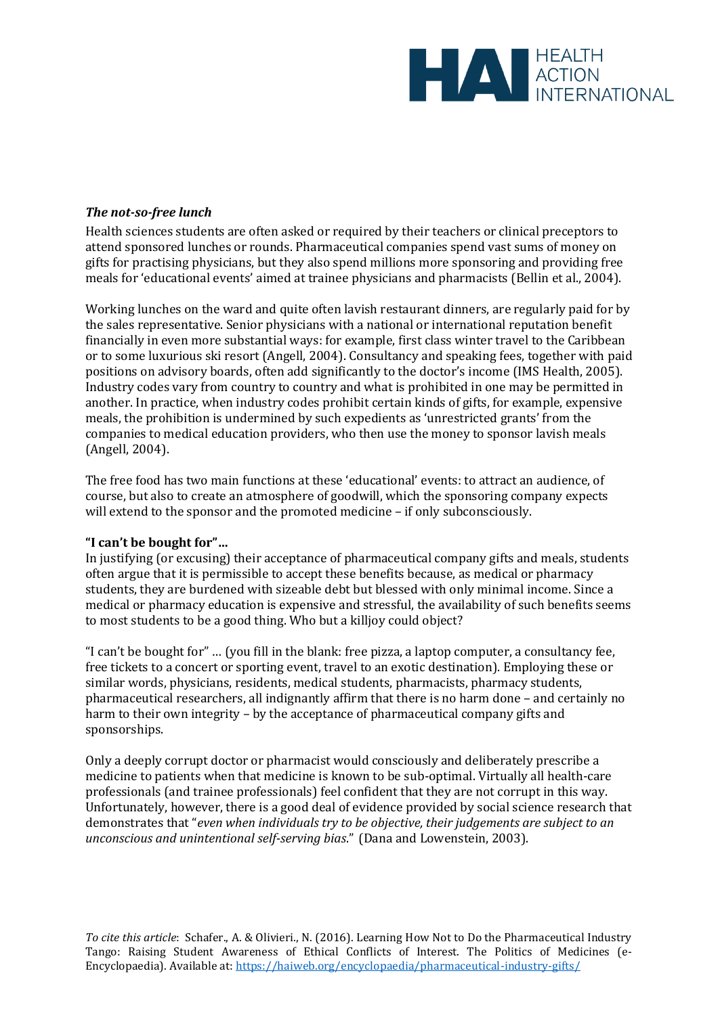

## *The not-so-free lunch*

Health sciences students are often asked or required by their teachers or clinical preceptors to attend sponsored lunches or rounds. Pharmaceutical companies spend vast sums of money on gifts for practising physicians, but they also spend millions more sponsoring and providing free meals for 'educational events' aimed at trainee physicians and pharmacists (Bellin et al., 2004).

Working lunches on the ward and quite often lavish restaurant dinners, are regularly paid for by the sales representative. Senior physicians with a national or international reputation benefit financially in even more substantial ways: for example, first class winter travel to the Caribbean or to some luxurious ski resort (Angell, 2004). Consultancy and speaking fees, together with paid positions on advisory boards, often add significantly to the doctor's income (IMS Health, 2005). Industry codes vary from country to country and what is prohibited in one may be permitted in another. In practice, when industry codes prohibit certain kinds of gifts, for example, expensive meals, the prohibition is undermined by such expedients as 'unrestricted grants' from the companies to medical education providers, who then use the money to sponsor lavish meals (Angell, 2004).

The free food has two main functions at these 'educational' events: to attract an audience, of course, but also to create an atmosphere of goodwill, which the sponsoring company expects will extend to the sponsor and the promoted medicine – if only subconsciously.

#### **"I can't be bought for"…**

In justifying (or excusing) their acceptance of pharmaceutical company gifts and meals, students often argue that it is permissible to accept these benefits because, as medical or pharmacy students, they are burdened with sizeable debt but blessed with only minimal income. Since a medical or pharmacy education is expensive and stressful, the availability of such benefits seems to most students to be a good thing. Who but a killjoy could object?

"I can't be bought for" … (you fill in the blank: free pizza, a laptop computer, a consultancy fee, free tickets to a concert or sporting event, travel to an exotic destination). Employing these or similar words, physicians, residents, medical students, pharmacists, pharmacy students, pharmaceutical researchers, all indignantly affirm that there is no harm done – and certainly no harm to their own integrity – by the acceptance of pharmaceutical company gifts and sponsorships.

Only a deeply corrupt doctor or pharmacist would consciously and deliberately prescribe a medicine to patients when that medicine is known to be sub-optimal. Virtually all health-care professionals (and trainee professionals) feel confident that they are not corrupt in this way. Unfortunately, however, there is a good deal of evidence provided by social science research that demonstrates that "*even when individuals try to be objective, their judgements are subject to an unconscious and unintentional self-serving bias*. " (Dana and Lowenstein, 2003).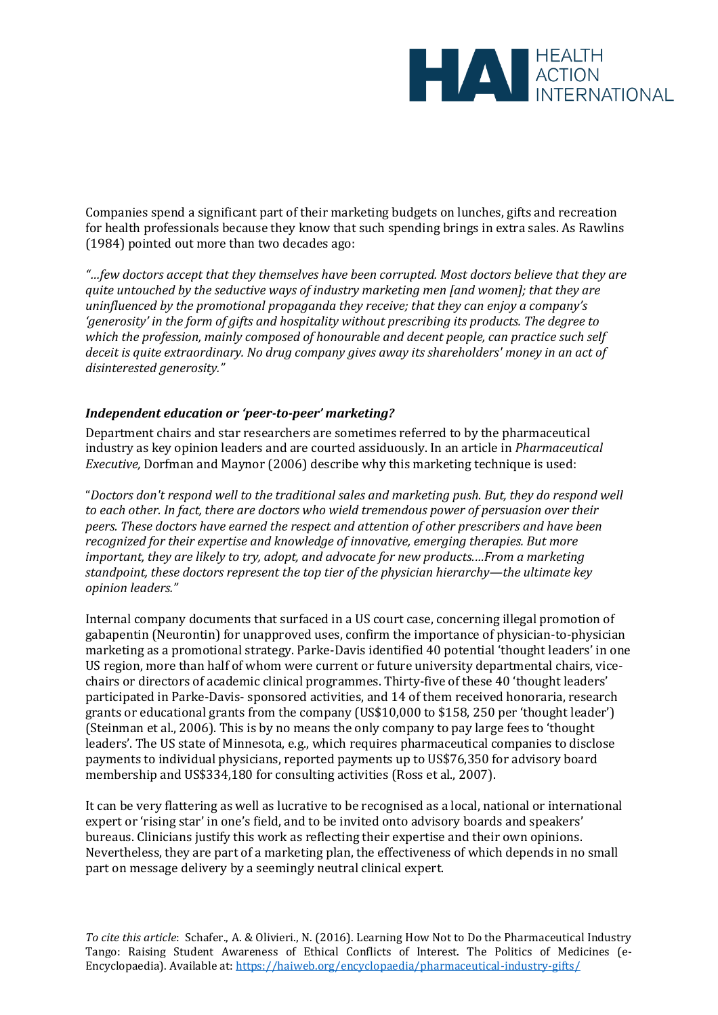

Companies spend a significant part of their marketing budgets on lunches, gifts and recreation for health professionals because they know that such spending brings in extra sales. As Rawlins (1984) pointed out more than two decades ago:

*"…few doctors accept that they themselves have been corrupted. Most doctors believe that they are quite untouched by the seductive ways of industry marketing men [and women]; that they are uninfluenced by the promotional propaganda they receive; that they can enjoy a company's 'generosity' in the form of gifts and hospitality without prescribing its products. The degree to which the profession, mainly composed of honourable and decent people, can practice such self deceit is quite extraordinary. No drug company gives away its shareholders' money in an act of disinterested generosity."*

## *Independent education or 'peer-to-peer' marketing?*

Department chairs and star researchers are sometimes referred to by the pharmaceutical industry as key opinion leaders and are courted assiduously. In an article in *Pharmaceutical Executive,* Dorfman and Maynor (2006) describe why this marketing technique is used:

"*Doctors don't respond well to the traditional sales and marketing push. But, they do respond well to each other. In fact, there are doctors who wield tremendous power of persuasion over their peers. These doctors have earned the respect and attention of other prescribers and have been recognized for their expertise and knowledge of innovative, emerging therapies. But more important, they are likely to try, adopt, and advocate for new products.…From a marketing standpoint, these doctors represent the top tier of the physician hierarchy—the ultimate key opinion leaders."*

Internal company documents that surfaced in a US court case, concerning illegal promotion of gabapentin (Neurontin) for unapproved uses, confirm the importance of physician-to-physician marketing as a promotional strategy. Parke-Davis identified 40 potential 'thought leaders' in one US region, more than half of whom were current or future university departmental chairs, vicechairs or directors of academic clinical programmes. Thirty-five of these 40 'thought leaders' participated in Parke-Davis- sponsored activities, and 14 of them received honoraria, research grants or educational grants from the company (US\$10,000 to \$158, 250 per 'thought leader') (Steinman et al., 2006). This is by no means the only company to pay large fees to 'thought leaders'. The US state of Minnesota, e.g., which requires pharmaceutical companies to disclose payments to individual physicians, reported payments up to US\$76,350 for advisory board membership and US\$334,180 for consulting activities (Ross et al., 2007).

It can be very flattering as well as lucrative to be recognised as a local, national or international expert or 'rising star' in one's field, and to be invited onto advisory boards and speakers' bureaus. Clinicians justify this work as reflecting their expertise and their own opinions. Nevertheless, they are part of a marketing plan, the effectiveness of which depends in no small part on message delivery by a seemingly neutral clinical expert.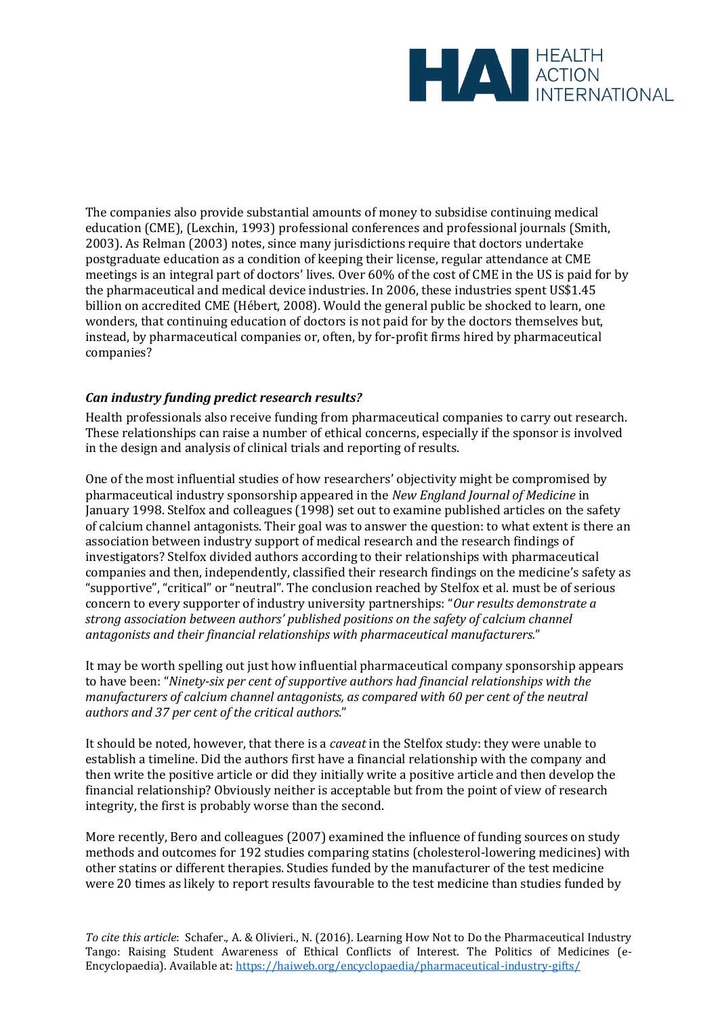

The companies also provide substantial amounts of money to subsidise continuing medical education (CME), (Lexchin, 1993) professional conferences and professional journals (Smith, 2003). As Relman (2003) notes, since many jurisdictions require that doctors undertake postgraduate education as a condition of keeping their license, regular attendance at CME meetings is an integral part of doctors' lives. Over 60% of the cost of CME in the US is paid for by the pharmaceutical and medical device industries. In 2006, these industries spent US\$1.45 billion on accredited CME (Hébert, 2008). Would the general public be shocked to learn, one wonders, that continuing education of doctors is not paid for by the doctors themselves but, instead, by pharmaceutical companies or, often, by for-profit firms hired by pharmaceutical companies?

# *Can industry funding predict research results?*

Health professionals also receive funding from pharmaceutical companies to carry out research. These relationships can raise a number of ethical concerns, especially if the sponsor is involved in the design and analysis of clinical trials and reporting of results.

One of the most influential studies of how researchers' objectivity might be compromised by pharmaceutical industry sponsorship appeared in the *New England Journal of Medicine* in January 1998. Stelfox and colleagues (1998) set out to examine published articles on the safety of calcium channel antagonists. Their goal was to answer the question: to what extent is there an association between industry support of medical research and the research findings of investigators? Stelfox divided authors according to their relationships with pharmaceutical companies and then, independently, classified their research findings on the medicine's safety as "supportive" , "critical" or "neutral". The conclusion reached by Stelfox et al. must be of serious concern to every supporter of industry university partnerships: "*Our results demonstrate a strong association between authors' published positions on the safety of calcium channel antagonists and their financial relationships with pharmaceutical manufacturers.*"

It may be worth spelling out just how influential pharmaceutical company sponsorship appears to have been: "*Ninety-six per cent of supportive authors had financial relationships with the manufacturers of calcium channel antagonists, as compared with 60 per cent of the neutral authors and 37 per cent of the critical authors.*"

It should be noted, however, that there is a *caveat* in the Stelfox study: they were unable to establish a timeline. Did the authors first have a financial relationship with the company and then write the positive article or did they initially write a positive article and then develop the financial relationship? Obviously neither is acceptable but from the point of view of research integrity, the first is probably worse than the second.

More recently, Bero and colleagues (2007) examined the influence of funding sources on study methods and outcomes for 192 studies comparing statins (cholesterol-lowering medicines) with other statins or different therapies. Studies funded by the manufacturer of the test medicine were 20 times as likely to report results favourable to the test medicine than studies funded by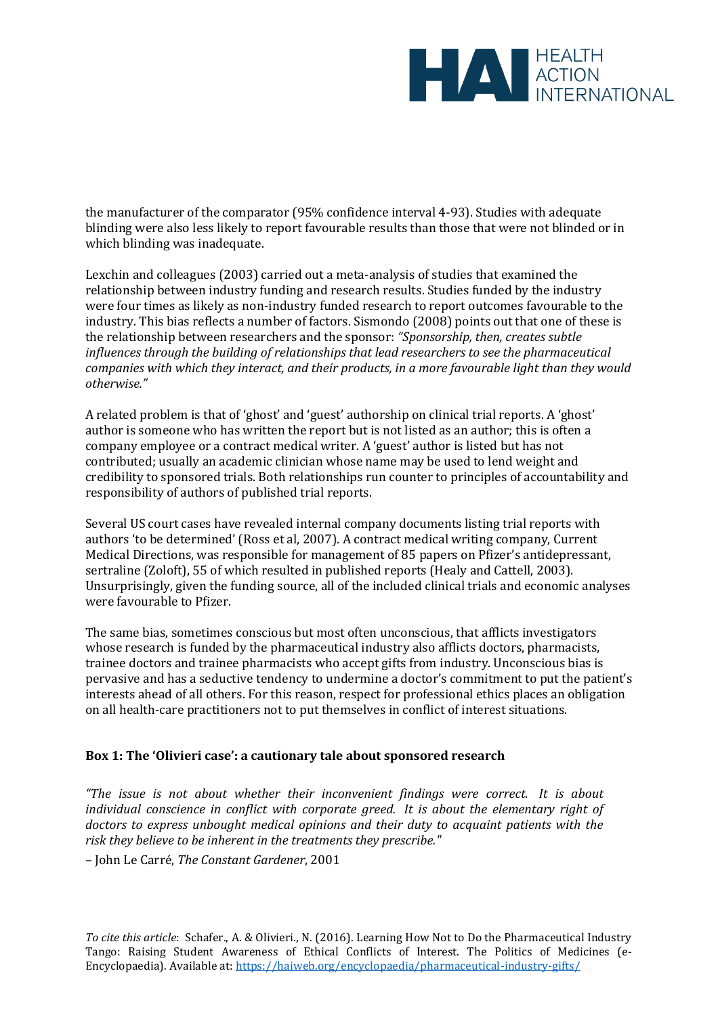

the manufacturer of the comparator (95% confidence interval 4-93). Studies with adequate blinding were also less likely to report favourable results than those that were not blinded or in which blinding was inadequate.

Lexchin and colleagues (2003) carried out a meta-analysis of studies that examined the relationship between industry funding and research results. Studies funded by the industry were four times as likely as non-industry funded research to report outcomes favourable to the industry. This bias reflects a number of factors. Sismondo (2008) points out that one of these is the relationship between researchers and the sponsor: *"Sponsorship, then, creates subtle influences through the building of relationships that lead researchers to see the pharmaceutical companies with which they interact, and their products, in a more favourable light than they would otherwise."*

A related problem is that of 'ghost' and 'guest' authorship on clinical trial reports. A 'ghost' author is someone who has written the report but is not listed as an author; this is often a company employee or a contract medical writer. A 'guest' author is listed but has not contributed; usually an academic clinician whose name may be used to lend weight and credibility to sponsored trials. Both relationships run counter to principles of accountability and responsibility of authors of published trial reports.

Several US court cases have revealed internal company documents listing trial reports with authors 'to be determined' (Ross et al, 2007). A contract medical writing company, Current Medical Directions, was responsible for management of 85 papers on Pfizer's antidepressant, sertraline (Zoloft), 55 of which resulted in published reports (Healy and Cattell, 2003). Unsurprisingly, given the funding source, all of the included clinical trials and economic analyses were favourable to Pfizer.

The same bias, sometimes conscious but most often unconscious, that afflicts investigators whose research is funded by the pharmaceutical industry also afflicts doctors, pharmacists, trainee doctors and trainee pharmacists who accept gifts from industry. Unconscious bias is pervasive and has a seductive tendency to undermine a doctor's commitment to put the patient's interests ahead of all others. For this reason, respect for professional ethics places an obligation on all health-care practitioners not to put themselves in conflict of interest situations.

#### **Box 1: The 'Olivieri case': a cautionary tale about sponsored research**

*"The issue is not about whether their inconvenient findings were correct. It is about individual conscience in conflict with corporate greed. It is about the elementary right of doctors to express unbought medical opinions and their duty to acquaint patients with the risk they believe to be inherent in the treatments they prescribe."* 

– John Le Carré, *The Constant Gardener*, 2001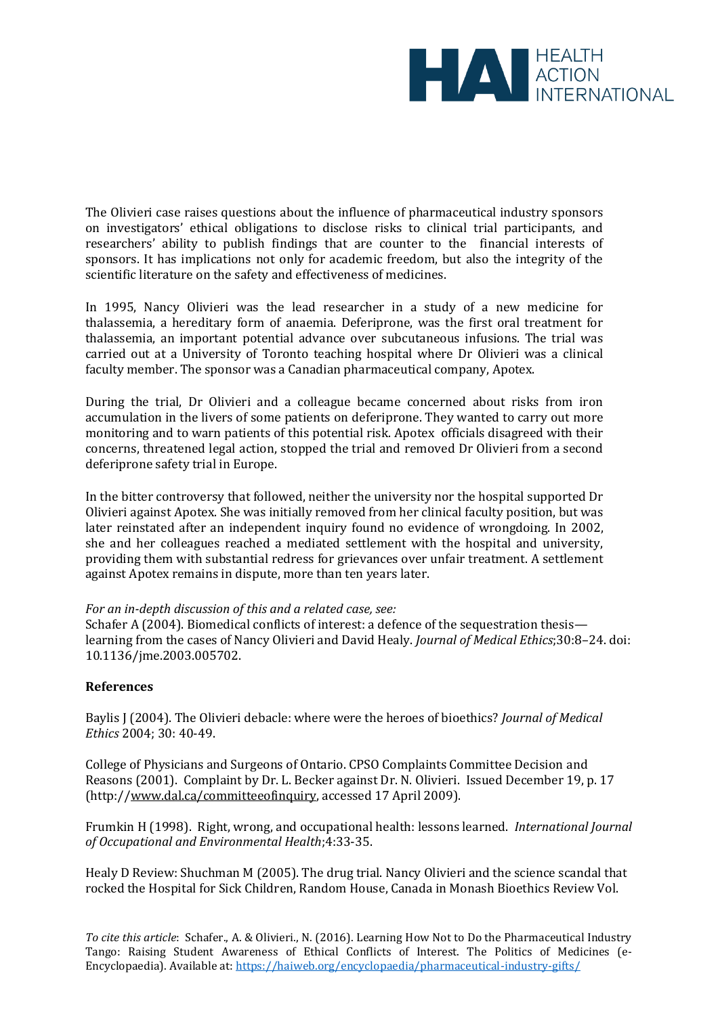

The Olivieri case raises questions about the influence of pharmaceutical industry sponsors on investigators' ethical obligations to disclose risks to clinical trial participants, and researchers' ability to publish findings that are counter to the financial interests of sponsors. It has implications not only for academic freedom, but also the integrity of the scientific literature on the safety and effectiveness of medicines.

In 1995, Nancy Olivieri was the lead researcher in a study of a new medicine for thalassemia, a hereditary form of anaemia. Deferiprone, was the first oral treatment for thalassemia, an important potential advance over subcutaneous infusions. The trial was carried out at a University of Toronto teaching hospital where Dr Olivieri was a clinical faculty member. The sponsor was a Canadian pharmaceutical company, Apotex.

During the trial, Dr Olivieri and a colleague became concerned about risks from iron accumulation in the livers of some patients on deferiprone. They wanted to carry out more monitoring and to warn patients of this potential risk. Apotex officials disagreed with their concerns, threatened legal action, stopped the trial and removed Dr Olivieri from a second deferiprone safety trial in Europe.

In the bitter controversy that followed, neither the university nor the hospital supported Dr Olivieri against Apotex. She was initially removed from her clinical faculty position, but was later reinstated after an independent inquiry found no evidence of wrongdoing. In 2002, she and her colleagues reached a mediated settlement with the hospital and university, providing them with substantial redress for grievances over unfair treatment. A settlement against Apotex remains in dispute, more than ten years later.

#### *For an in-depth discussion of this and a related case, see:*

Schafer A (2004). Biomedical conflicts of interest: a defence of the sequestration thesis learning from the cases of Nancy Olivieri and David Healy. *Journal of Medical Ethics*;30:8–24. doi: 10.1136/jme.2003.005702.

#### **References**

Baylis J (2004). The Olivieri debacle: where were the heroes of bioethics? *Journal of Medical Ethics* 2004; 30: 40-49.

College of Physicians and Surgeons of Ontario. CPSO Complaints Committee Decision and Reasons (2001). Complaint by Dr. L. Becker against Dr. N. Olivieri. Issued December 19, p. 17 (http:/[/www.dal.ca/committeeofinquiry,](http://www.dal.ca/committeeofinquiry) accessed 17 April 2009).

Frumkin H (1998). Right, wrong, and occupational health: lessons learned. *International Journal of Occupational and Environmental Health*;4:33-35.

Healy D Review: Shuchman M (2005). The drug trial. Nancy Olivieri and the science scandal that rocked the Hospital for Sick Children, Random House, Canada in Monash Bioethics Review Vol.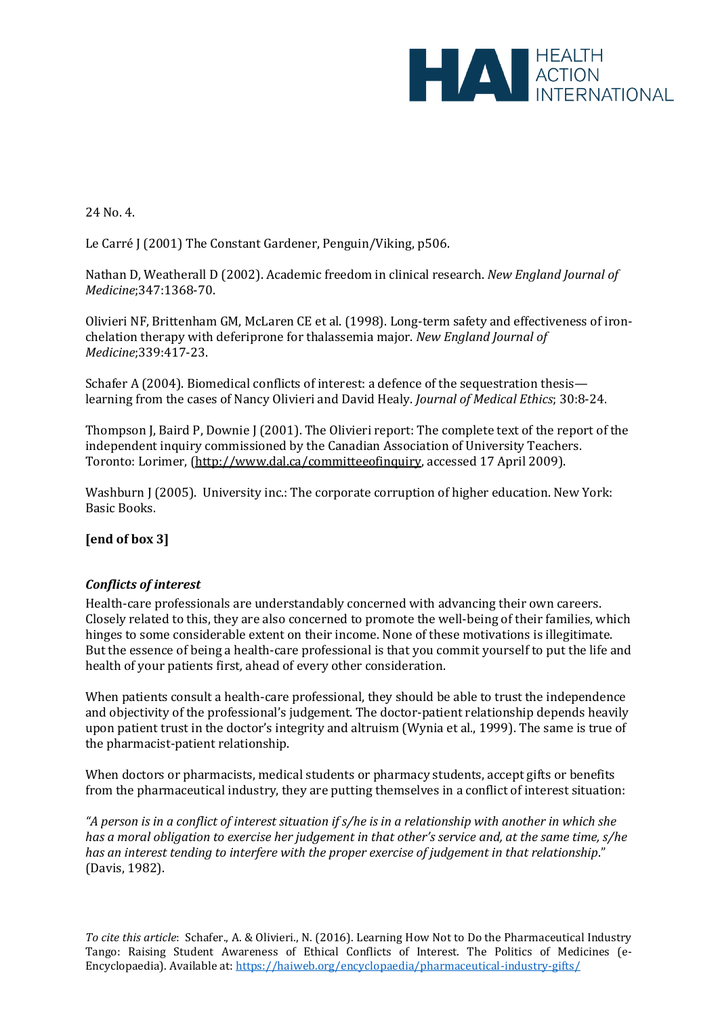

# 24 No. 4.

Le Carré J (2001) The Constant Gardener, Penguin/Viking, p506.

Nathan D, Weatherall D (2002). Academic freedom in clinical research. *New England Journal of Medicine*;347:1368-70.

Olivieri NF, Brittenham GM, McLaren CE et al. (1998). Long-term safety and effectiveness of ironchelation therapy with deferiprone for thalassemia major. *New England Journal of Medicine*;339:417-23.

Schafer A (2004). Biomedical conflicts of interest: a defence of the sequestration thesis learning from the cases of Nancy Olivieri and David Healy. *Journal of Medical Ethics*; 30:8-24.

Thompson J, Baird P, Downie J (2001). The Olivieri report: The complete text of the report of the independent inquiry commissioned by the Canadian Association of University Teachers. Toronto: Lorimer, [\(http://www.dal.ca/committeeofinquiry,](http://www.dal.ca/committeeofinquiry) accessed 17 April 2009).

Washburn J (2005). University inc.: The corporate corruption of higher education. New York: Basic Books.

# **[end of box 3]**

# *Conflicts of interest*

Health-care professionals are understandably concerned with advancing their own careers. Closely related to this, they are also concerned to promote the well-being of their families, which hinges to some considerable extent on their income. None of these motivations is illegitimate. But the essence of being a health-care professional is that you commit yourself to put the life and health of your patients first*,* ahead of every other consideration.

When patients consult a health-care professional, they should be able to trust the independence and objectivity of the professional's judgement. The doctor-patient relationship depends heavily upon patient trust in the doctor's integrity and altruism (Wynia et al., 1999). The same is true of the pharmacist-patient relationship.

When doctors or pharmacists, medical students or pharmacy students, accept gifts or benefits from the pharmaceutical industry, they are putting themselves in a conflict of interest situation:

*"A person is in a conflict of interest situation if s/he is in a relationship with another in which she has a moral obligation to exercise her judgement in that other's service and, at the same time, s/he has an interest tending to interfere with the proper exercise of judgement in that relationship*. " (Davis, 1982).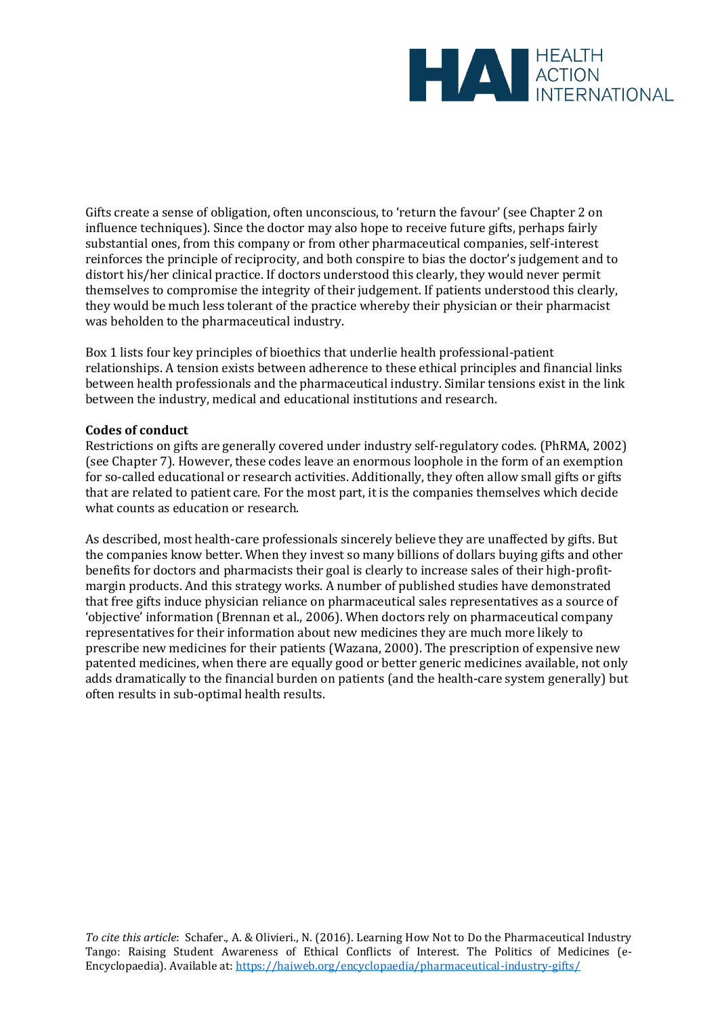

Gifts create a sense of obligation, often unconscious, to 'return the favour' (see Chapter 2 on influence techniques). Since the doctor may also hope to receive future gifts, perhaps fairly substantial ones, from this company or from other pharmaceutical companies, self-interest reinforces the principle of reciprocity, and both conspire to bias the doctor's judgement and to distort his/her clinical practice. If doctors understood this clearly, they would never permit themselves to compromise the integrity of their judgement. If patients understood this clearly, they would be much less tolerant of the practice whereby their physician or their pharmacist was beholden to the pharmaceutical industry.

Box 1 lists four key principles of bioethics that underlie health professional-patient relationships. A tension exists between adherence to these ethical principles and financial links between health professionals and the pharmaceutical industry. Similar tensions exist in the link between the industry, medical and educational institutions and research.

#### **Codes of conduct**

Restrictions on gifts are generally covered under industry self-regulatory codes. (PhRMA, 2002) (see Chapter 7). However, these codes leave an enormous loophole in the form of an exemption for so-called educational or research activities. Additionally, they often allow small gifts or gifts that are related to patient care. For the most part, it is the companies themselves which decide what counts as education or research.

As described, most health-care professionals sincerely believe they are unaffected by gifts. But the companies know better. When they invest so many billions of dollars buying gifts and other benefits for doctors and pharmacists their goal is clearly to increase sales of their high-profitmargin products. And this strategy works. A number of published studies have demonstrated that free gifts induce physician reliance on pharmaceutical sales representatives as a source of 'objective' information (Brennan et al., 2006). When doctors rely on pharmaceutical company representatives for their information about new medicines they are much more likely to prescribe new medicines for their patients (Wazana, 2000). The prescription of expensive new patented medicines, when there are equally good or better generic medicines available, not only adds dramatically to the financial burden on patients (and the health-care system generally) but often results in sub-optimal health results.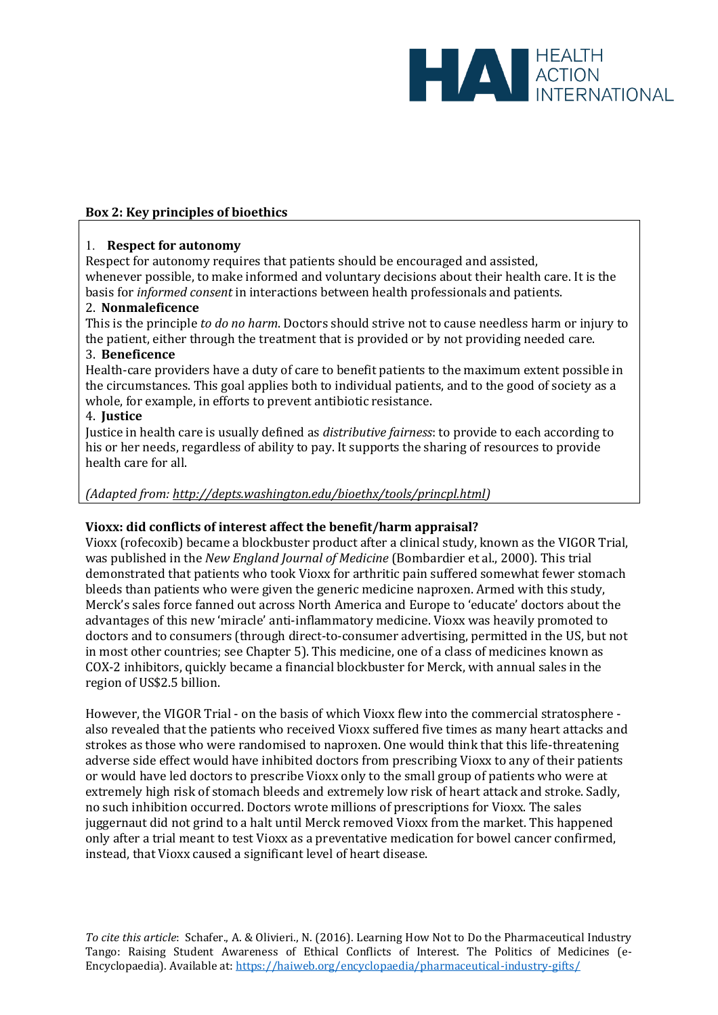

## **Box 2: Key principles of bioethics**

#### 1. **Respect for autonomy**

Respect for autonomy requires that patients should be encouraged and assisted, whenever possible, to make informed and voluntary decisions about their health care. It is the basis for *informed consent* in interactions between health professionals and patients.

#### 2. **Nonmaleficence**

This is the principle *to do no harm*. Doctors should strive not to cause needless harm or injury to the patient, either through the treatment that is provided or by not providing needed care.

#### 3. **Beneficence**

Health-care providers have a duty of care to benefit patients to the maximum extent possible in the circumstances. This goal applies both to individual patients, and to the good of society as a whole, for example, in efforts to prevent antibiotic resistance.

## 4. **Justice**

Justice in health care is usually defined as *distributive fairness*: to provide to each according to his or her needs, regardless of ability to pay. It supports the sharing of resources to provide health care for all.

## *(Adapted from: [http://depts.washington.edu/bioethx/tools/princpl.html\)](http://depts.washington.edu/bioethx/tools/princpl.html)*

#### **Vioxx: did conflicts of interest affect the benefit/harm appraisal?**

Vioxx (rofecoxib) became a blockbuster product after a clinical study, known as the VIGOR Trial, was published in the *New England Journal of Medicine* (Bombardier et al., 2000). This trial demonstrated that patients who took Vioxx for arthritic pain suffered somewhat fewer stomach bleeds than patients who were given the generic medicine naproxen. Armed with this study, Merck's sales force fanned out across North America and Europe to 'educate' doctors about the advantages of this new 'miracle' anti-inflammatory medicine. Vioxx was heavily promoted to doctors and to consumers (through direct-to-consumer advertising, permitted in the US, but not in most other countries; see Chapter 5). This medicine, one of a class of medicines known as COX-2 inhibitors, quickly became a financial blockbuster for Merck, with annual sales in the region of US\$2.5 billion.

However, the VIGOR Trial - on the basis of which Vioxx flew into the commercial stratosphere also revealed that the patients who received Vioxx suffered five times as many heart attacks and strokes as those who were randomised to naproxen. One would think that this life-threatening adverse side effect would have inhibited doctors from prescribing Vioxx to any of their patients or would have led doctors to prescribe Vioxx only to the small group of patients who were at extremely high risk of stomach bleeds and extremely low risk of heart attack and stroke. Sadly, no such inhibition occurred. Doctors wrote millions of prescriptions for Vioxx. The sales juggernaut did not grind to a halt until Merck removed Vioxx from the market. This happened only after a trial meant to test Vioxx as a preventative medication for bowel cancer confirmed, instead, that Vioxx caused a significant level of heart disease.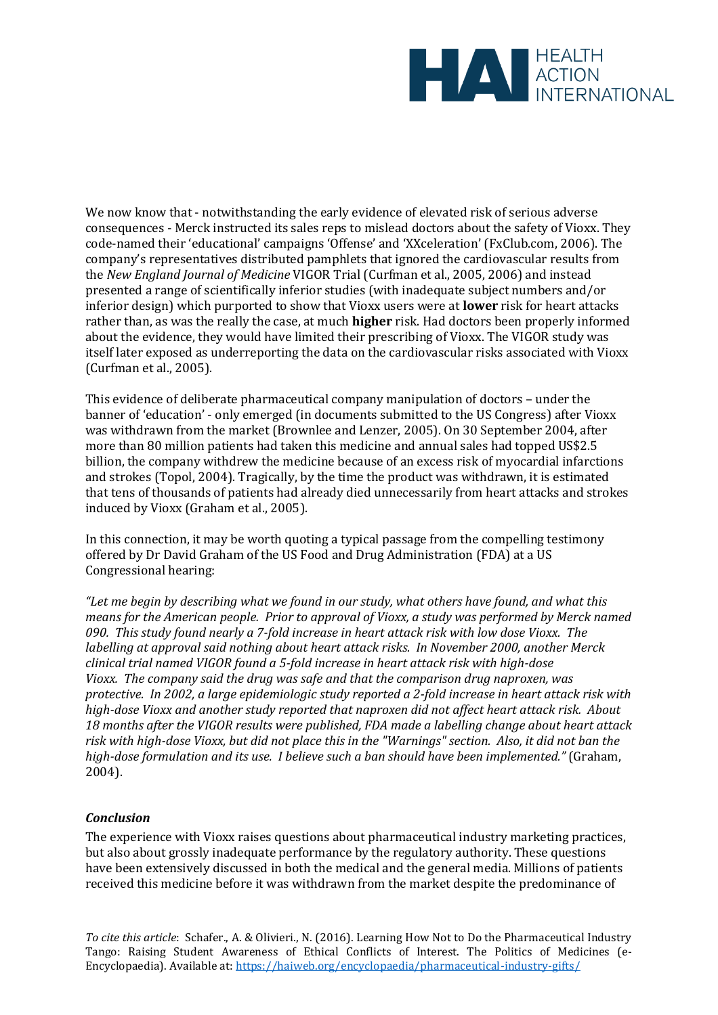

We now know that - notwithstanding the early evidence of elevated risk of serious adverse consequences - Merck instructed its sales reps to mislead doctors about the safety of Vioxx. They code-named their 'educational' campaigns 'Offense' and 'XXceleration' (FxClub.com, 2006). The company's representatives distributed pamphlets that ignored the cardiovascular results from the *New England Journal of Medicine* VIGOR Trial (Curfman et al., 2005, 2006) and instead presented a range of scientifically inferior studies (with inadequate subject numbers and/or inferior design) which purported to show that Vioxx users were at **lower** risk for heart attacks rather than, as was the really the case, at much **higher** risk. Had doctors been properly informed about the evidence, they would have limited their prescribing of Vioxx. The VIGOR study was itself later exposed as underreporting the data on the cardiovascular risks associated with Vioxx (Curfman et al., 2005).

This evidence of deliberate pharmaceutical company manipulation of doctors – under the banner of 'education' - only emerged (in documents submitted to the US Congress) after Vioxx was withdrawn from the market (Brownlee and Lenzer, 2005). On 30 September 2004, after more than 80 million patients had taken this medicine and annual sales had topped US\$2.5 billion, the company withdrew the medicine because of an excess risk of myocardial infarctions and strokes (Topol, 2004). Tragically, by the time the product was withdrawn, it is estimated that tens of thousands of patients had already died unnecessarily from heart attacks and strokes induced by Vioxx (Graham et al., 2005).

In this connection, it may be worth quoting a typical passage from the compelling testimony offered by Dr David Graham of the US Food and Drug Administration (FDA) at a US Congressional hearing:

*"Let me begin by describing what we found in our study, what others have found, and what this means for the American people. Prior to approval of Vioxx, a study was performed by Merck named 090. This study found nearly a 7-fold increase in heart attack risk with low dose Vioxx. The labelling at approval said nothing about heart attack risks. In November 2000, another Merck clinical trial named VIGOR found a 5-fold increase in heart attack risk with high-dose Vioxx. The company said the drug was safe and that the comparison drug naproxen, was protective. In 2002, a large epidemiologic study reported a 2-fold increase in heart attack risk with high-dose Vioxx and another study reported that naproxen did not affect heart attack risk. About 18 months after the VIGOR results were published, FDA made a labelling change about heart attack risk with high-dose Vioxx, but did not place this in the "Warnings" section. Also, it did not ban the high-dose formulation and its use. I believe such a ban should have been implemented."* (Graham, 2004).

# *Conclusion*

The experience with Vioxx raises questions about pharmaceutical industry marketing practices, but also about grossly inadequate performance by the regulatory authority. These questions have been extensively discussed in both the medical and the general media. Millions of patients received this medicine before it was withdrawn from the market despite the predominance of

*To cite this article*: Schafer., A. & Olivieri., N. (2016). Learning How Not to Do the Pharmaceutical Industry Tango: Raising Student Awareness of Ethical Conflicts of Interest. The Politics of Medicines (e-Encyclopaedia). Available at[: https://haiweb.org/encyclopaedia/pharmaceutical-industry-gifts/](https://haiweb.org/encyclopaedia/pharmaceutical-industry-gifts/)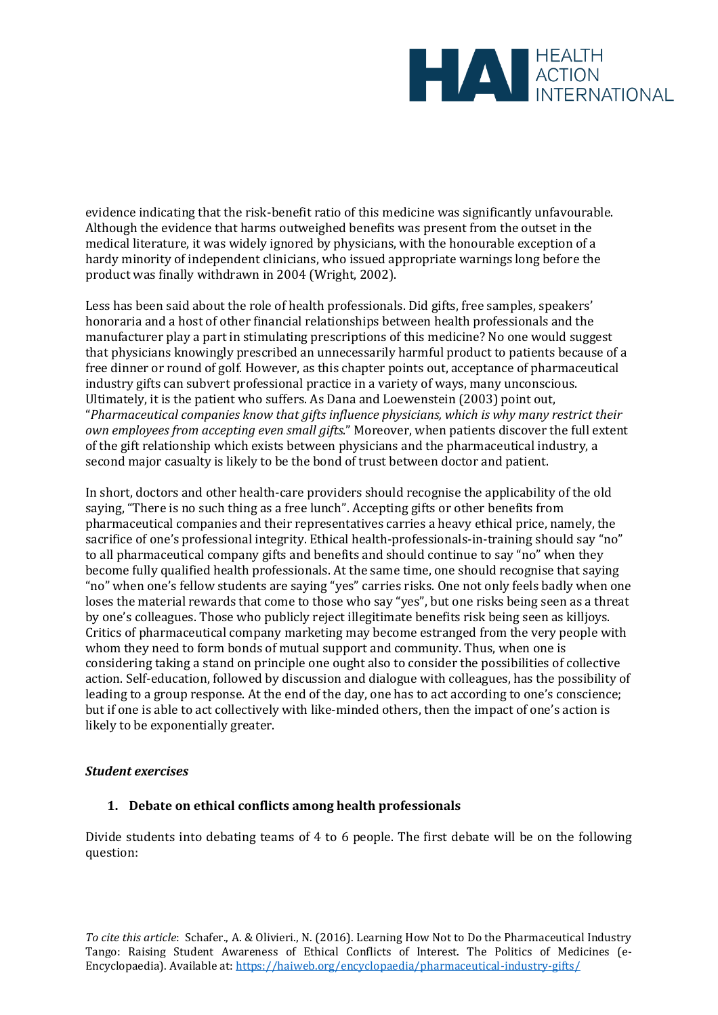

evidence indicating that the risk-benefit ratio of this medicine was significantly unfavourable. Although the evidence that harms outweighed benefits was present from the outset in the medical literature, it was widely ignored by physicians, with the honourable exception of a hardy minority of independent clinicians, who issued appropriate warnings long before the product was finally withdrawn in 2004 (Wright, 2002).

Less has been said about the role of health professionals. Did gifts, free samples, speakers' honoraria and a host of other financial relationships between health professionals and the manufacturer play a part in stimulating prescriptions of this medicine? No one would suggest that physicians knowingly prescribed an unnecessarily harmful product to patients because of a free dinner or round of golf. However, as this chapter points out, acceptance of pharmaceutical industry gifts can subvert professional practice in a variety of ways, many unconscious. Ultimately, it is the patient who suffers. As Dana and Loewenstein (2003) point out, "*Pharmaceutical companies know that gifts influence physicians, which is why many restrict their own employees from accepting even small gifts*. " Moreover, when patients discover the full extent of the gift relationship which exists between physicians and the pharmaceutical industry, a second major casualty is likely to be the bond of trust between doctor and patient.

In short, doctors and other health-care providers should recognise the applicability of the old saying, "There is no such thing as a free lunch". Accepting gifts or other benefits from pharmaceutical companies and their representatives carries a heavy ethical price, namely, the sacrifice of one's professional integrity. Ethical health-professionals-in-training should say "no" to all pharmaceutical company gifts and benefits and should continue to say "no" when they become fully qualified health professionals. At the same time, one should recognise that saying "no" when one's fellow students are saying "yes" carries risks. One not only feels badly when one loses the material rewards that come to those who say "yes", but one risks being seen as a threat by one's colleagues. Those who publicly reject illegitimate benefits risk being seen as killjoys. Critics of pharmaceutical company marketing may become estranged from the very people with whom they need to form bonds of mutual support and community. Thus, when one is considering taking a stand on principle one ought also to consider the possibilities of collective action. Self-education, followed by discussion and dialogue with colleagues, has the possibility of leading to a group response. At the end of the day, one has to act according to one's conscience; but if one is able to act collectively with like-minded others, then the impact of one's action is likely to be exponentially greater.

#### *Student exercises*

# **1. Debate on ethical conflicts among health professionals**

Divide students into debating teams of 4 to 6 people. The first debate will be on the following question: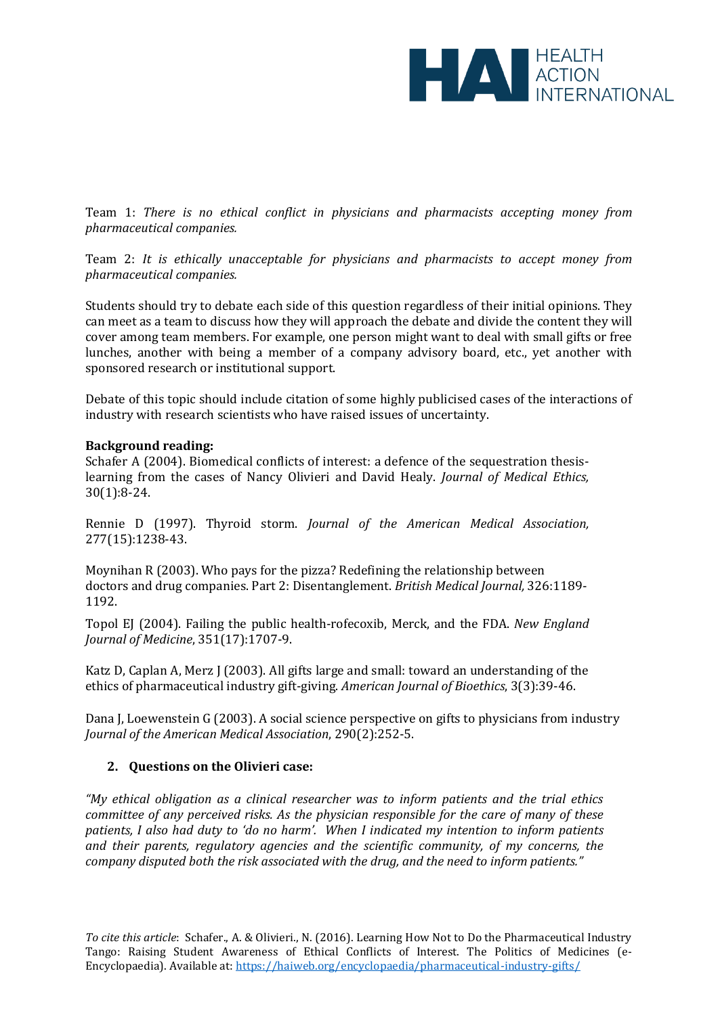

Team 1: *There is no ethical conflict in physicians and pharmacists accepting money from pharmaceutical companies.* 

Team 2: *It is ethically unacceptable for physicians and pharmacists to accept money from pharmaceutical companies.* 

Students should try to debate each side of this question regardless of their initial opinions. They can meet as a team to discuss how they will approach the debate and divide the content they will cover among team members. For example, one person might want to deal with small gifts or free lunches, another with being a member of a company advisory board, etc., yet another with sponsored research or institutional support.

Debate of this topic should include citation of some highly publicised cases of the interactions of industry with research scientists who have raised issues of uncertainty.

#### **Background reading:**

Schafer A (2004). Biomedical conflicts of interest: a defence of the sequestration thesislearning from the cases of Nancy Olivieri and David Healy. *Journal of Medical Ethics,* 30(1):8-24.

Rennie D (1997). Thyroid storm. *Journal of the American Medical Association,* 277(15):1238-43.

Moynihan R (2003). Who pays for the pizza? Redefining the relationship between doctors and drug companies. Part 2: Disentanglement. *British Medical Journal,* 326:1189- 1192.

Topol EJ (2004). Failing the public health-rofecoxib, Merck, and the FDA. *New England Journal of Medicine*, 351(17):1707-9.

Katz D, Caplan A, Merz J (2003). All gifts large and small: toward an understanding of the ethics of pharmaceutical industry gift-giving. *American Journal of Bioethics*, 3(3):39-46.

Dana J, Loewenstein G (2003). A social science perspective on gifts to physicians from industry *Journal of the American Medical Association*, 290(2):252-5.

#### **2. Questions on the Olivieri case:**

*"My ethical obligation as a clinical researcher was to inform patients and the trial ethics committee of any perceived risks. As the physician responsible for the care of many of these patients, I also had duty to 'do no harm'. When I indicated my intention to inform patients and their parents, regulatory agencies and the scientific community, of my concerns, the company disputed both the risk associated with the drug, and the need to inform patients."*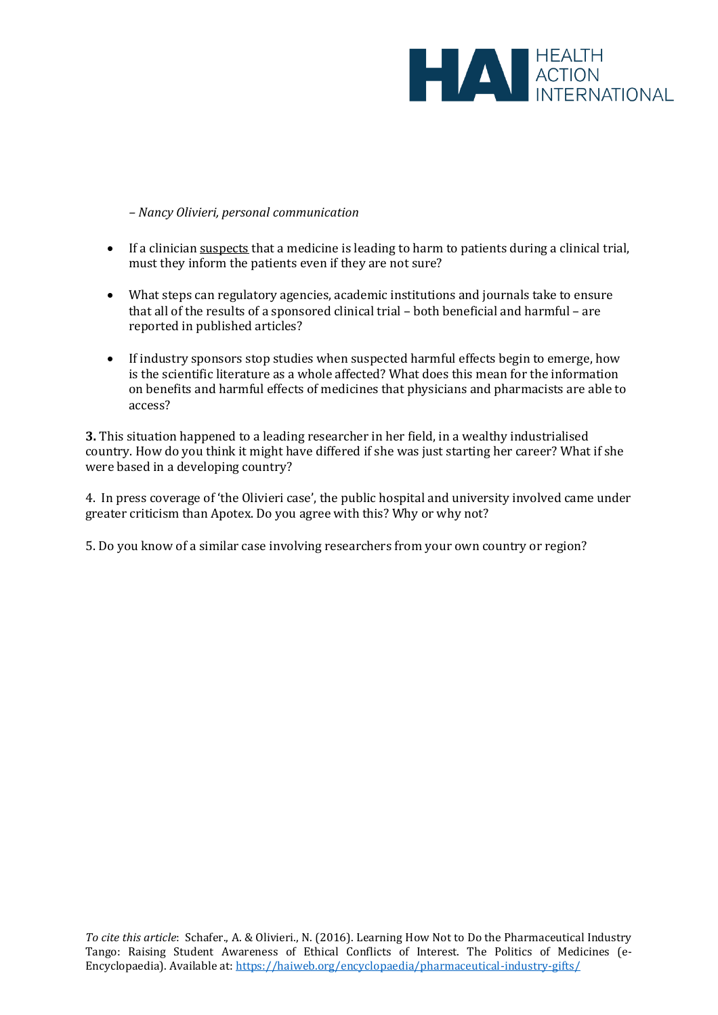

*– Nancy Olivieri, personal communication* 

- If a clinician suspects that a medicine is leading to harm to patients during a clinical trial, must they inform the patients even if they are not sure?
- What steps can regulatory agencies, academic institutions and journals take to ensure that all of the results of a sponsored clinical trial – both beneficial and harmful – are reported in published articles?
- If industry sponsors stop studies when suspected harmful effects begin to emerge, how is the scientific literature as a whole affected? What does this mean for the information on benefits and harmful effects of medicines that physicians and pharmacists are able to access?

**3.** This situation happened to a leading researcher in her field, in a wealthy industrialised country. How do you think it might have differed if she was just starting her career? What if she were based in a developing country?

4. In press coverage of 'the Olivieri case', the public hospital and university involved came under greater criticism than Apotex. Do you agree with this? Why or why not?

5. Do you know of a similar case involving researchers from your own country or region?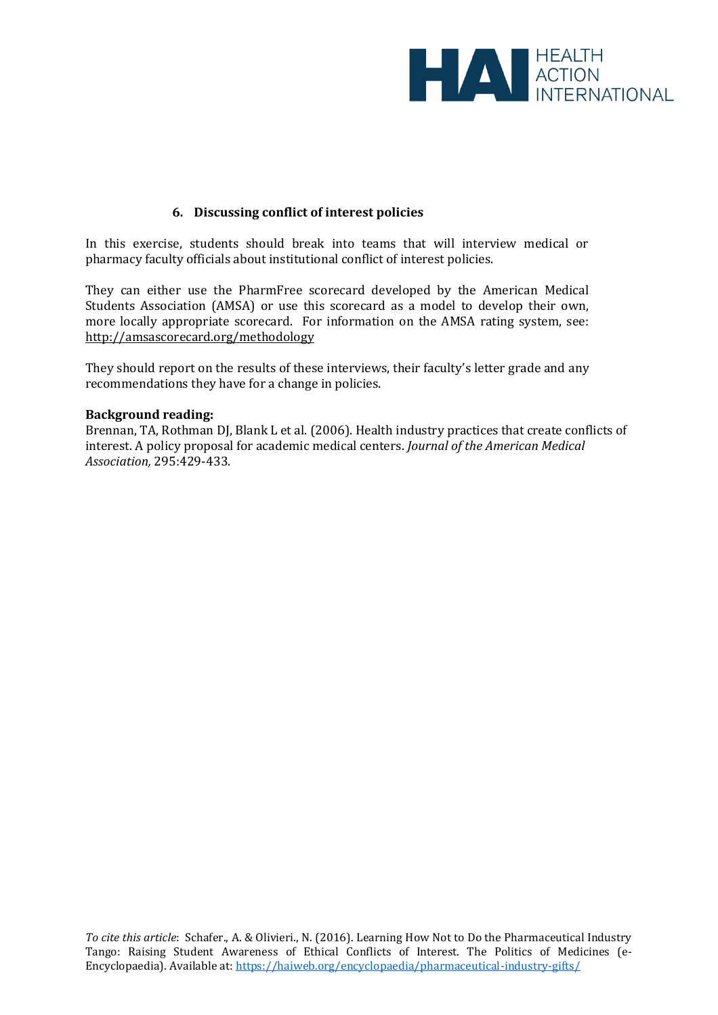

# **6. Discussing conflict of interest policies**

In this exercise, students should break into teams that will interview medical or pharmacy faculty officials about institutional conflict of interest policies.

They can either use the PharmFree scorecard developed by the American Medical Students Association (AMSA) or use this scorecard as a model to develop their own, more locally appropriate scorecard. For information on the AMSA rating system, see: <http://amsascorecard.org/methodology>

They should report on the results of these interviews, their faculty's letter grade and any recommendations they have for a change in policies.

#### **Background reading:**

Brennan, TA, Rothman DJ, Blank L et al. (2006). Health industry practices that create conflicts of interest. A policy proposal for academic medical centers. *Journal of the American Medical Association,* 295:429-433.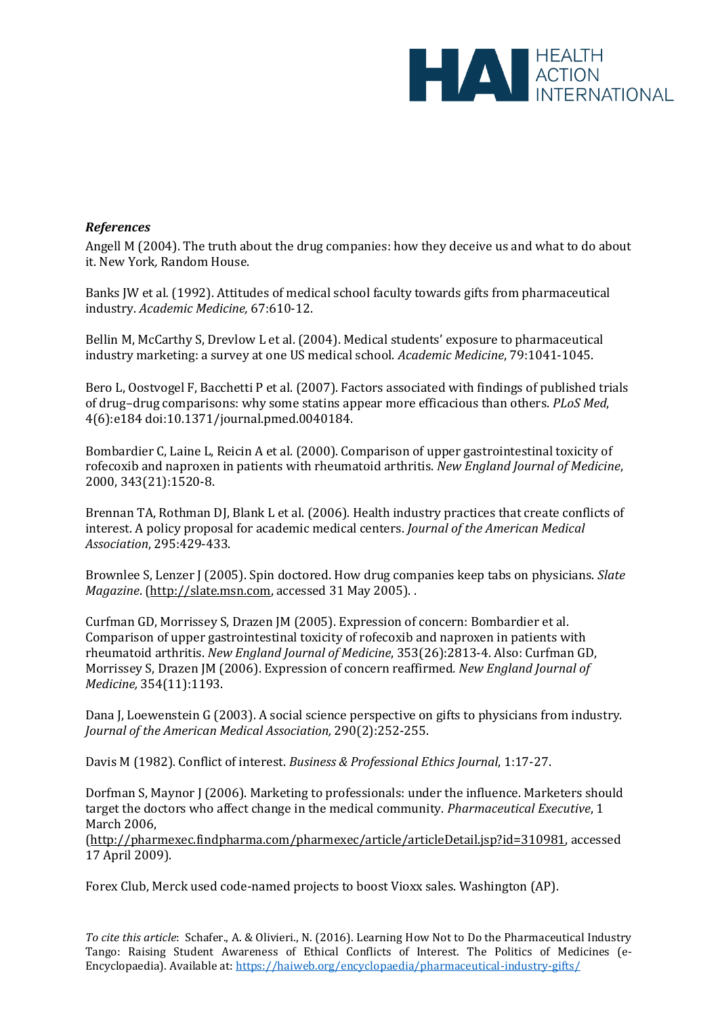

## *References*

Angell M (2004). The truth about the drug companies: how they deceive us and what to do about it. New York*,* Random House.

Banks JW et al*.* (1992). Attitudes of medical school faculty towards gifts from pharmaceutical industry. *Academic Medicine,* 67:610-12.

Bellin M, McCarthy S, Drevlow L et al. (2004). Medical students' exposure to pharmaceutical industry marketing: a survey at one US medical school. *Academic Medicine*, 79:1041-1045.

Bero L, Oostvogel F, Bacchetti P et al. (2007). Factors associated with findings of published trials of drug–drug comparisons: why some statins appear more efficacious than others. *PLoS Med*, 4(6):e18[4 doi:10.1371/journal.pmed.0040184.](http://dx.doi.org/10.1371/journal.pmed.0040184)

Bombardier C, Laine L, Reicin A et al. (2000). Comparison of upper gastrointestinal toxicity of rofecoxib and naproxen in patients with rheumatoid arthritis. *New England Journal of Medicine*, 2000, 343(21):1520-8.

Brennan TA, Rothman DJ, Blank L et al. (2006). Health industry practices that create conflicts of interest. A policy proposal for academic medical centers. *Journal of the American Medical Association*, 295:429-433.

Brownlee S, Lenzer J (2005). Spin doctored. How drug companies keep tabs on physicians. *Slate Magazine*. [\(http://slate.msn.com,](http://slate.msn.com/) accessed 31 May 2005). .

Curfman GD, Morrissey S, Drazen JM (2005). Expression of concern: Bombardier et al. Comparison of upper gastrointestinal toxicity of rofecoxib and naproxen in patients with rheumatoid arthritis. *New England Journal of Medicine*, 353(26):2813-4. Also: Curfman GD, Morrissey S, Drazen JM (2006). Expression of concern reaffirmed*. New England Journal of Medicine,* 354(11):1193.

Dana J, Loewenstein G (2003). A social science perspective on gifts to physicians from industry. *Journal of the American Medical Association,* 290(2):252-255.

Davis M (1982). Conflict of interest. *Business & Professional Ethics Journal*, 1:17-27.

Dorfman S, Maynor J (2006). Marketing to professionals: under the influence. Marketers should target the doctors who affect change in the medical community. *Pharmaceutical Executive*, 1 March 2006,

[\(http://pharmexec.findpharma.com/pharmexec/article/articleDetail.jsp?id=310981,](http://pharmexec.findpharma.com/pharmexec/article/articleDetail.jsp?id=310981) accessed 17 April 2009).

Forex Club, Merck used code-named projects to boost Vioxx sales. Washington (AP).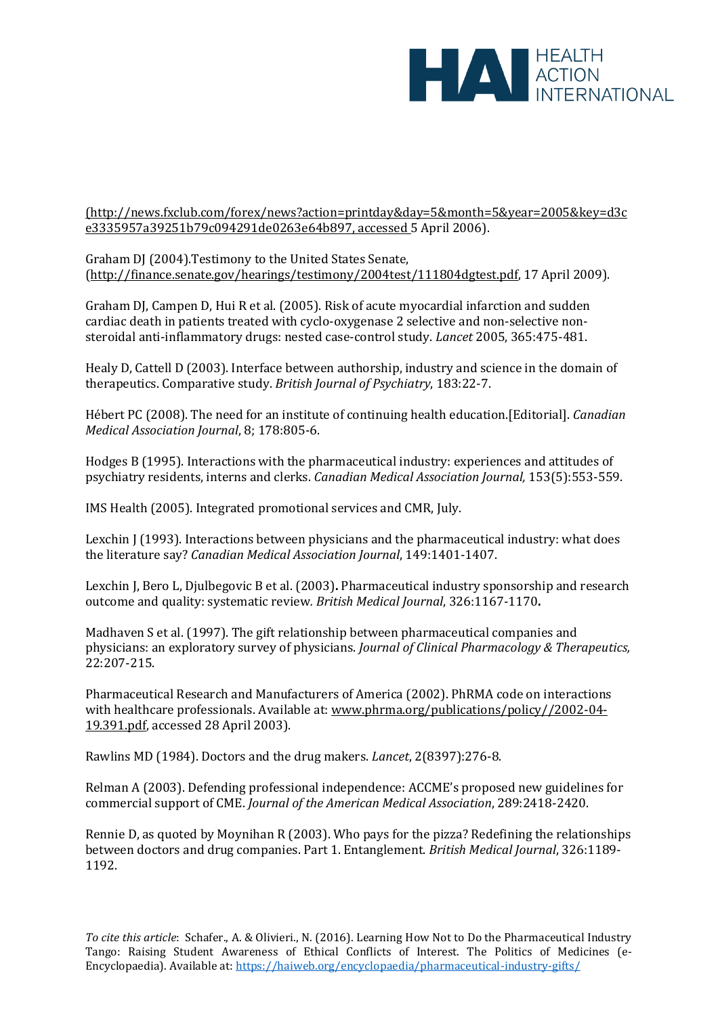

[\(http://news.fxclub.com/forex/news?action=printday&day=5&month=5&year=2005&key=d3c](http://news.fxclub.com/forex/news?action=printday&day=5&month=5&year=2005&key=d3ce3335957a39251b79c094291de0263e64b897) [e3335957a39251b79c094291de0263e64b897,](http://news.fxclub.com/forex/news?action=printday&day=5&month=5&year=2005&key=d3ce3335957a39251b79c094291de0263e64b897) accessed 5 April 2006).

Graham DJ (2004).Testimony to the United States Senate, [\(http://finance.senate.gov/hearings/testimony/2004test/111804dgtest.pdf,](http://finance.senate.gov/hearings/testimony/2004test/111804dgtest.pdf) 17 April 2009).

Graham DJ, Campen D, Hui R et al. (2005). Risk of acute myocardial infarction and sudden cardiac death in patients treated with cyclo-oxygenase 2 selective and non-selective nonsteroidal anti-inflammatory drugs: nested case-control study. *Lancet* 2005, 365:475-481.

Healy D, Cattell D (2003). Interface between authorship, industry and science in the domain of therapeutics. Comparative study. *British Journal of Psychiatry*, 183:22-7.

Hébert PC (2008). The need for an institute of continuing health education.[Editorial]. *Canadian Medical Association Journal*, 8; 178:805-6.

Hodges B (1995). Interactions with the pharmaceutical industry: experiences and attitudes of psychiatry residents, interns and clerks. *Canadian Medical Association Journal,* 153(5):553-559.

IMS Health (2005). Integrated promotional services and CMR, July.

Lexchin J (1993). Interactions between physicians and the pharmaceutical industry: what does the literature say? *Canadian Medical Association Journal*, 149:1401-1407.

Lexchin J, Bero L, Djulbegovic B et al. (2003)**.** Pharmaceutical industry sponsorship and research outcome and quality: systematic review*. British Medical Journal*, 326:1167-1170**.**

Madhaven S et al. (1997). The gift relationship between pharmaceutical companies and physicians: an exploratory survey of physicians. *Journal of Clinical Pharmacology & Therapeutics,* 22:207-215.

Pharmaceutical Research and Manufacturers of America (2002). PhRMA code on interactions with healthcare professionals. Available at[: www.phrma.org/publications/policy//2002-04-](http://www.phrma.org/publications/policy/2002-04-19.391.pdf) [19.391.pdf,](http://www.phrma.org/publications/policy/2002-04-19.391.pdf) accessed 28 April 2003).

Rawlins MD (1984). Doctors and the drug makers. *Lancet*, 2(8397):276-8.

Relman A (2003). Defending professional independence: ACCME's proposed new guidelines for commercial support of CME. *Journal of the American Medical Association*, 289:2418-2420.

Rennie D, as quoted by Moynihan R (2003). Who pays for the pizza? Redefining the relationships between doctors and drug companies. Part 1. Entanglement. *British Medical Journal*, 326:1189- 1192.